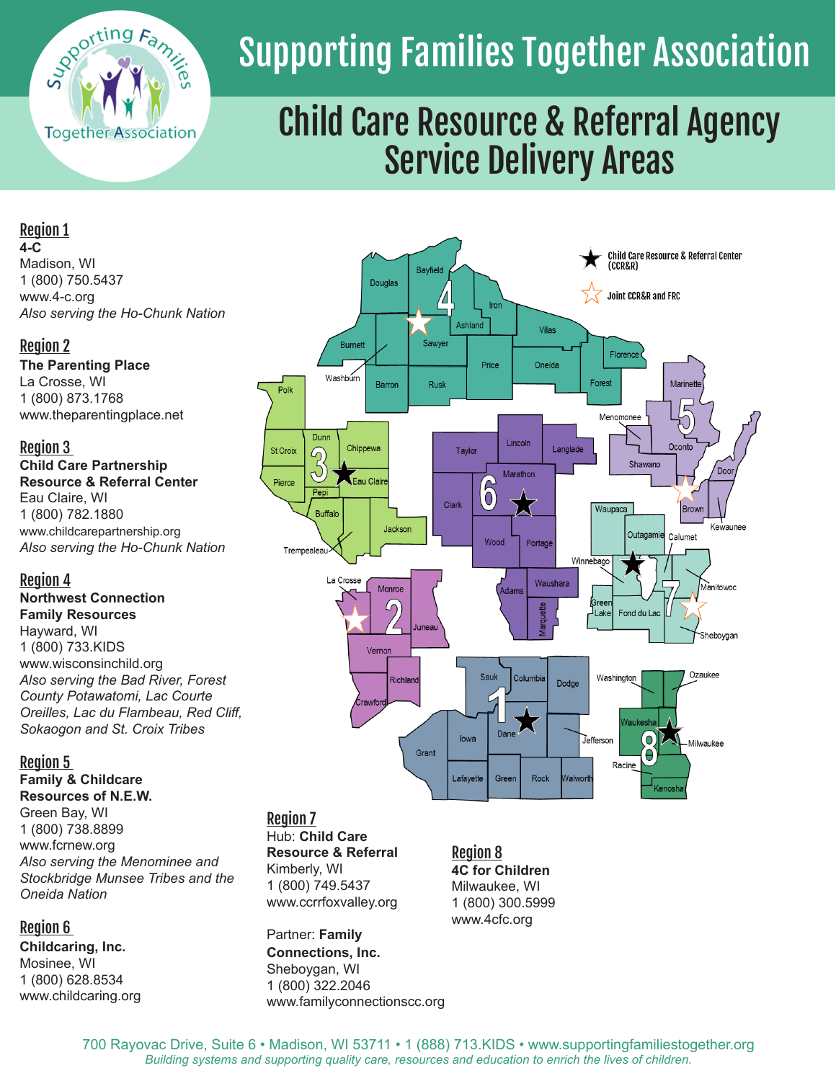

# Supporting Families Together Association

# Child Care Resource & Referral Agency Service Delivery Areas

**Bayfield** 

 $^{\prime\prime}$ 

Sawyer

Rusk

Iron

Price

 $6$ 

Wood

Sauk

lowa

Dane

Vilas

Oneida

Langlade

Lincoln

Marathon

Portage

Columbi

Waushara

Dodge

Ashland

Tavlor

Clark

Douglas

Barron

Jackson

Monroe

Δη

Richland

Vernor

**Burnet** 

Chippewa

Fau Cla

Washburn

Dunn

ನಿ

Pepi

Trempealeau

Buffalo

La Crosse

Polk

St Croix

Pierce

Child Care Resource & Referral Center<br>(CCR&R)

Marinette

Oconto

Brown

Calumet

Dool

Kewaunee

Manitowoc

Shebovaan

Ozaukee

Milwaukee

**Joint CCR&R and FRC** 

Florence

Menomonee

Waupaca

Winnebago

Greer

J<sub>Lake</sub>

Jefferson

Washington

Shawand

Outagamie

Fond du Lac

 $\overline{O}$ 

Forest

# Region 1

**4-C** 

Madison, WI 1 (800) 750.5437 www.4-c.org *Also serving the Ho-Chunk Nation*

# Region 2

**The Parenting Place** La Crosse, WI 1 (800) 873.1768 www.theparentingplace.net

#### Region 3

**Child Care Partnership Resource & Referral Center** Eau Claire, WI 1 (800) 782.1880 www.childcarepartnership.org *Also serving the Ho-Chunk Nation* 

# Region 4

**Northwest Connection Family Resources**  Hayward, WI

1 (800) 733.KIDS www.wisconsinchild.org *Also serving the Bad River, Forest County Potawatomi, Lac Courte Oreilles, Lac du Flambeau, Red Cliff, Sokaogon and St. Croix Tribes* 

# Region 5

**Family & Childcare Resources of N.E.W.** 

Green Bay, WI 1 (800) 738.8899 www.fcrnew.org *Also serving the Menominee and Stockbridge Munsee Tribes and the Oneida Nation* 

# Region 6

**Childcaring, Inc.** Mosinee, WI 1 (800) 628.8534 www.childcaring.org Partner: **Family Connections, Inc.** Sheboygan, WI 1 (800) 322.2046 www.familyconnectionscc.org